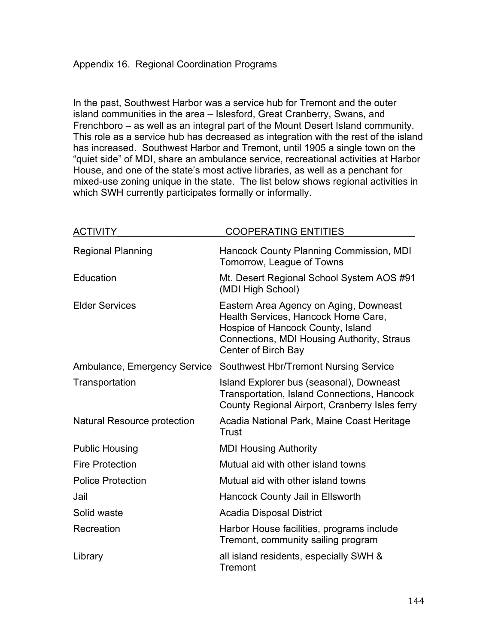In the past, Southwest Harbor was a service hub for Tremont and the outer island communities in the area – Islesford, Great Cranberry, Swans, and Frenchboro – as well as an integral part of the Mount Desert Island community. This role as a service hub has decreased as integration with the rest of the island has increased. Southwest Harbor and Tremont, until 1905 a single town on the "quiet side" of MDI, share an ambulance service, recreational activities at Harbor House, and one of the state's most active libraries, as well as a penchant for mixed-use zoning unique in the state. The list below shows regional activities in which SWH currently participates formally or informally.

| <b>ACTIVITY</b>                    | <b>COOPERATING ENTITIES</b>                                                                                                                                                             |
|------------------------------------|-----------------------------------------------------------------------------------------------------------------------------------------------------------------------------------------|
| <b>Regional Planning</b>           | Hancock County Planning Commission, MDI<br>Tomorrow, League of Towns                                                                                                                    |
| Education                          | Mt. Desert Regional School System AOS #91<br>(MDI High School)                                                                                                                          |
| <b>Elder Services</b>              | Eastern Area Agency on Aging, Downeast<br>Health Services, Hancock Home Care,<br>Hospice of Hancock County, Island<br>Connections, MDI Housing Authority, Straus<br>Center of Birch Bay |
| Ambulance, Emergency Service       | <b>Southwest Hbr/Tremont Nursing Service</b>                                                                                                                                            |
| Transportation                     | Island Explorer bus (seasonal), Downeast<br>Transportation, Island Connections, Hancock<br>County Regional Airport, Cranberry Isles ferry                                               |
| <b>Natural Resource protection</b> | Acadia National Park, Maine Coast Heritage<br>Trust                                                                                                                                     |
| <b>Public Housing</b>              | <b>MDI Housing Authority</b>                                                                                                                                                            |
| <b>Fire Protection</b>             | Mutual aid with other island towns                                                                                                                                                      |
| <b>Police Protection</b>           | Mutual aid with other island towns                                                                                                                                                      |
| Jail                               | Hancock County Jail in Ellsworth                                                                                                                                                        |
| Solid waste                        | <b>Acadia Disposal District</b>                                                                                                                                                         |
| Recreation                         | Harbor House facilities, programs include<br>Tremont, community sailing program                                                                                                         |
| Library                            | all island residents, especially SWH &<br>Tremont                                                                                                                                       |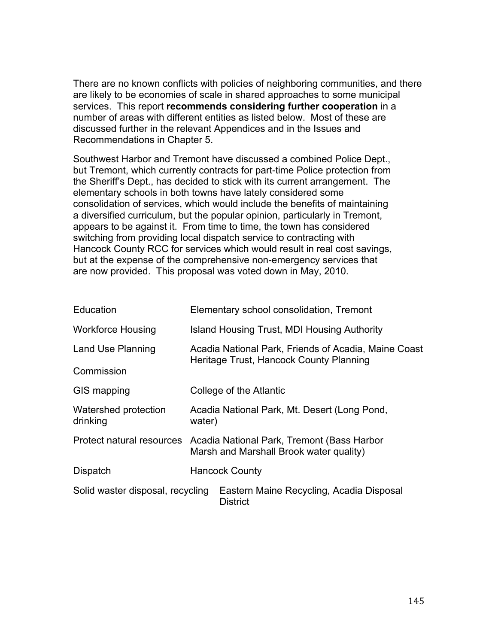There are no known conflicts with policies of neighboring communities, and there are likely to be economies of scale in shared approaches to some municipal services. This report **recommends considering further cooperation** in a number of areas with different entities as listed below. Most of these are discussed further in the relevant Appendices and in the Issues and Recommendations in Chapter 5.

Southwest Harbor and Tremont have discussed a combined Police Dept., but Tremont, which currently contracts for part-time Police protection from the Sheriff's Dept., has decided to stick with its current arrangement. The elementary schools in both towns have lately considered some consolidation of services, which would include the benefits of maintaining a diversified curriculum, but the popular opinion, particularly in Tremont, appears to be against it. From time to time, the town has considered switching from providing local dispatch service to contracting with Hancock County RCC for services which would result in real cost savings, but at the expense of the comprehensive non-emergency services that are now provided. This proposal was voted down in May, 2010.

| Education                        | Elementary school consolidation, Tremont                                                        |                                                             |  |
|----------------------------------|-------------------------------------------------------------------------------------------------|-------------------------------------------------------------|--|
| <b>Workforce Housing</b>         | Island Housing Trust, MDI Housing Authority                                                     |                                                             |  |
| Land Use Planning                | Acadia National Park, Friends of Acadia, Maine Coast<br>Heritage Trust, Hancock County Planning |                                                             |  |
| Commission                       |                                                                                                 |                                                             |  |
| GIS mapping                      | College of the Atlantic                                                                         |                                                             |  |
| Watershed protection<br>drinking | Acadia National Park, Mt. Desert (Long Pond,<br>water)                                          |                                                             |  |
| Protect natural resources        | Acadia National Park, Tremont (Bass Harbor<br>Marsh and Marshall Brook water quality)           |                                                             |  |
| <b>Dispatch</b>                  | <b>Hancock County</b>                                                                           |                                                             |  |
| Solid waster disposal, recycling |                                                                                                 | Eastern Maine Recycling, Acadia Disposal<br><b>District</b> |  |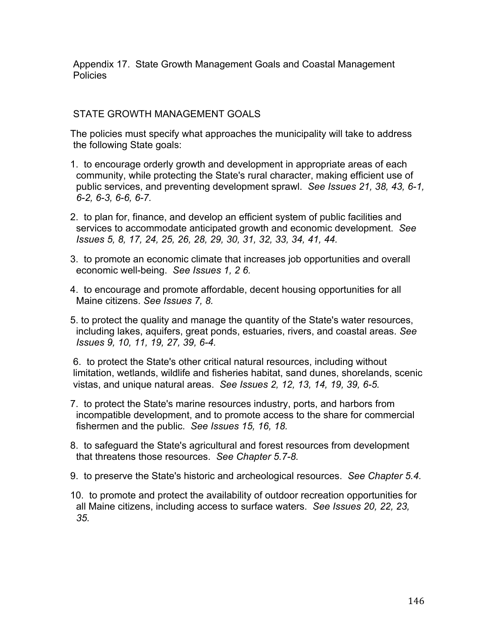Appendix 17. State Growth Management Goals and Coastal Management Policies

## STATE GROWTH MANAGEMENT GOALS

The policies must specify what approaches the municipality will take to address the following State goals:

- 1. to encourage orderly growth and development in appropriate areas of each community, while protecting the State's rural character, making efficient use of public services, and preventing development sprawl. *See Issues 21, 38, 43, 6-1, 6-2, 6-3, 6-6, 6-7.*
- 2. to plan for, finance, and develop an efficient system of public facilities and services to accommodate anticipated growth and economic development. *See Issues 5, 8, 17, 24, 25, 26, 28, 29, 30, 31, 32, 33, 34, 41, 44.*
- 3. to promote an economic climate that increases job opportunities and overall economic well-being. *See Issues 1, 2 6.*
- 4. to encourage and promote affordable, decent housing opportunities for all Maine citizens. *See Issues 7, 8.*
- 5. to protect the quality and manage the quantity of the State's water resources, including lakes, aquifers, great ponds, estuaries, rivers, and coastal areas. *See Issues 9, 10, 11, 19, 27, 39, 6-4.*

6. to protect the State's other critical natural resources, including without limitation, wetlands, wildlife and fisheries habitat, sand dunes, shorelands, scenic vistas, and unique natural areas. *See Issues 2, 12, 13, 14, 19, 39, 6-5.*

- 7. to protect the State's marine resources industry, ports, and harbors from incompatible development, and to promote access to the share for commercial fishermen and the public. *See Issues 15, 16, 18.*
- 8. to safeguard the State's agricultural and forest resources from development that threatens those resources. *See Chapter 5.7-8.*
- 9. to preserve the State's historic and archeological resources. *See Chapter 5.4.*
- 10. to promote and protect the availability of outdoor recreation opportunities for all Maine citizens, including access to surface waters. *See Issues 20, 22, 23, 35.*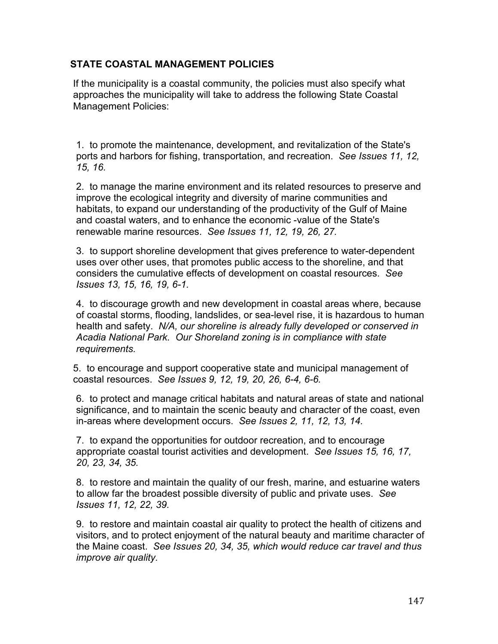## **STATE COASTAL MANAGEMENT POLICIES**

If the municipality is a coastal community, the policies must also specify what approaches the municipality will take to address the following State Coastal Management Policies:

1. to promote the maintenance, development, and revitalization of the State's ports and harbors for fishing, transportation, and recreation. *See Issues 11, 12, 15, 16.*

2. to manage the marine environment and its related resources to preserve and improve the ecological integrity and diversity of marine communities and habitats, to expand our understanding of the productivity of the Gulf of Maine and coastal waters, and to enhance the economic -value of the State's renewable marine resources. *See Issues 11, 12, 19, 26, 27.*

3. to support shoreline development that gives preference to water-dependent uses over other uses, that promotes public access to the shoreline, and that considers the cumulative effects of development on coastal resources. *See Issues 13, 15, 16, 19, 6-1.*

4. to discourage growth and new development in coastal areas where, because of coastal storms, flooding, landslides, or sea-level rise, it is hazardous to human health and safety. *N/A, our shoreline is already fully developed or conserved in Acadia National Park. Our Shoreland zoning is in compliance with state requirements.*

5. to encourage and support cooperative state and municipal management of coastal resources. *See Issues 9, 12, 19, 20, 26, 6-4, 6-6.* 

6. to protect and manage critical habitats and natural areas of state and national significance, and to maintain the scenic beauty and character of the coast, even in-areas where development occurs. *See Issues 2, 11, 12, 13, 14.*

7. to expand the opportunities for outdoor recreation, and to encourage appropriate coastal tourist activities and development. *See Issues 15, 16, 17, 20, 23, 34, 35.*

8. to restore and maintain the quality of our fresh, marine, and estuarine waters to allow far the broadest possible diversity of public and private uses. *See Issues 11, 12, 22, 39.*

9. to restore and maintain coastal air quality to protect the health of citizens and visitors, and to protect enjoyment of the natural beauty and maritime character of the Maine coast. *See Issues 20, 34, 35, which would reduce car travel and thus improve air quality.*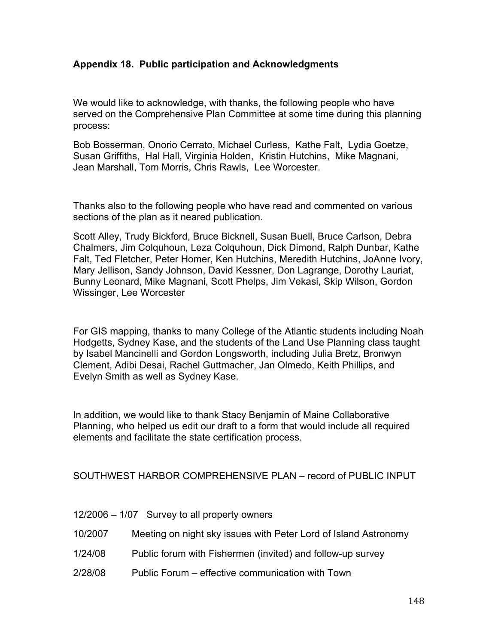## **Appendix 18. Public participation and Acknowledgments**

We would like to acknowledge, with thanks, the following people who have served on the Comprehensive Plan Committee at some time during this planning process:

Bob Bosserman, Onorio Cerrato, Michael Curless, Kathe Falt, Lydia Goetze, Susan Griffiths, Hal Hall, Virginia Holden, Kristin Hutchins, Mike Magnani, Jean Marshall, Tom Morris, Chris Rawls, Lee Worcester.

Thanks also to the following people who have read and commented on various sections of the plan as it neared publication.

Scott Alley, Trudy Bickford, Bruce Bicknell, Susan Buell, Bruce Carlson, Debra Chalmers, Jim Colquhoun, Leza Colquhoun, Dick Dimond, Ralph Dunbar, Kathe Falt, Ted Fletcher, Peter Homer, Ken Hutchins, Meredith Hutchins, JoAnne Ivory, Mary Jellison, Sandy Johnson, David Kessner, Don Lagrange, Dorothy Lauriat, Bunny Leonard, Mike Magnani, Scott Phelps, Jim Vekasi, Skip Wilson, Gordon Wissinger, Lee Worcester

For GIS mapping, thanks to many College of the Atlantic students including Noah Hodgetts, Sydney Kase, and the students of the Land Use Planning class taught by Isabel Mancinelli and Gordon Longsworth, including Julia Bretz, Bronwyn Clement, Adibi Desai, Rachel Guttmacher, Jan Olmedo, Keith Phillips, and Evelyn Smith as well as Sydney Kase.

In addition, we would like to thank Stacy Benjamin of Maine Collaborative Planning, who helped us edit our draft to a form that would include all required elements and facilitate the state certification process.

SOUTHWEST HARBOR COMPREHENSIVE PLAN – record of PUBLIC INPUT

12/2006 – 1/07 Survey to all property owners

- 10/2007 Meeting on night sky issues with Peter Lord of Island Astronomy
- 1/24/08 Public forum with Fishermen (invited) and follow-up survey
- 2/28/08 Public Forum effective communication with Town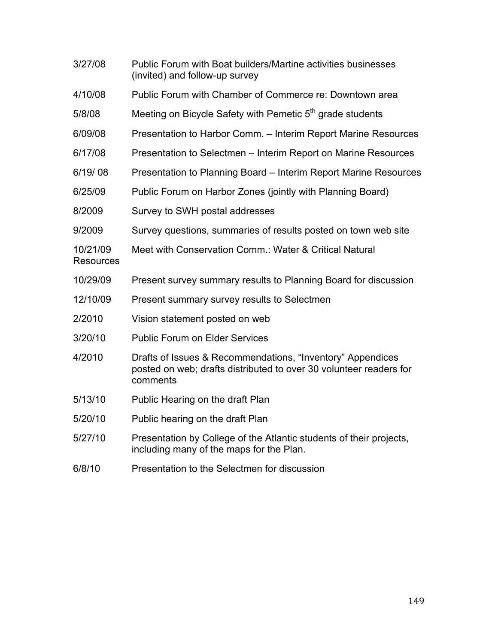| 3/27/08                      | Public Forum with Boat builders/Martine activities businesses<br>(invited) and follow-up survey                                              |
|------------------------------|----------------------------------------------------------------------------------------------------------------------------------------------|
| 4/10/08                      | Public Forum with Chamber of Commerce re: Downtown area                                                                                      |
| 5/8/08                       | Meeting on Bicycle Safety with Pemetic 5 <sup>th</sup> grade students                                                                        |
| 6/09/08                      | Presentation to Harbor Comm. - Interim Report Marine Resources                                                                               |
| 6/17/08                      | Presentation to Selectmen - Interim Report on Marine Resources                                                                               |
| 6/19/08                      | Presentation to Planning Board – Interim Report Marine Resources                                                                             |
| 6/25/09                      | Public Forum on Harbor Zones (jointly with Planning Board)                                                                                   |
| 8/2009                       | Survey to SWH postal addresses                                                                                                               |
| 9/2009                       | Survey questions, summaries of results posted on town web site                                                                               |
| 10/21/09<br><b>Resources</b> | Meet with Conservation Comm.: Water & Critical Natural                                                                                       |
| 10/29/09                     | Present survey summary results to Planning Board for discussion                                                                              |
| 12/10/09                     | Present summary survey results to Selectmen                                                                                                  |
| 2/2010                       | Vision statement posted on web                                                                                                               |
| 3/20/10                      | <b>Public Forum on Elder Services</b>                                                                                                        |
| 4/2010                       | Drafts of Issues & Recommendations, "Inventory" Appendices<br>posted on web; drafts distributed to over 30 volunteer readers for<br>comments |
| 5/13/10                      | Public Hearing on the draft Plan                                                                                                             |
| 5/20/10                      | Public hearing on the draft Plan                                                                                                             |
| 5/27/10                      | Presentation by College of the Atlantic students of their projects,<br>including many of the maps for the Plan.                              |
| 6/8/10                       | Presentation to the Selectmen for discussion                                                                                                 |